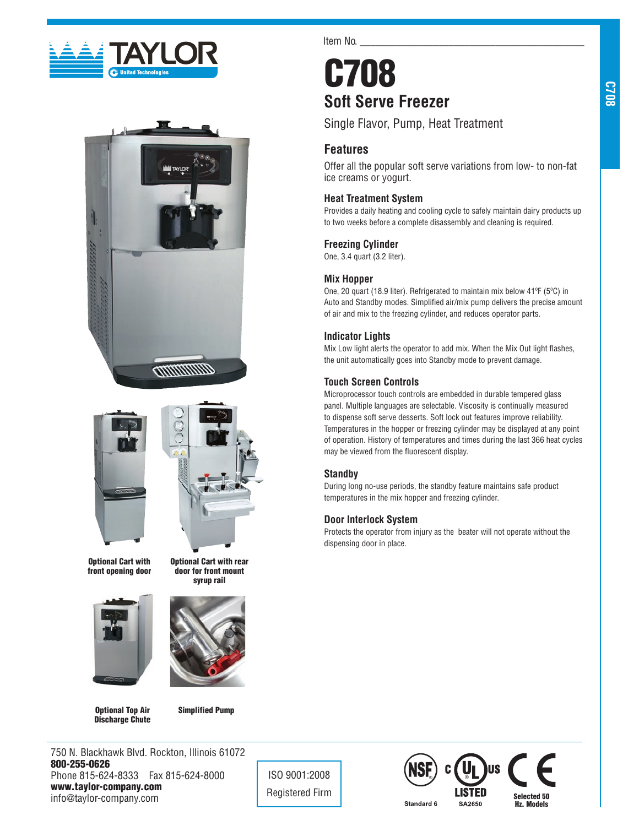





Optional Cart with front opening door





Optional Cart with rear door for front mount

Optional Top Air Discharge Chute

Simplified Pump

750 N. Blackhawk Blvd. Rockton, Illinois 61072 800-255-0626 Phone 815-624-8333 Fax 815-624-8000 www.taylor-company.com info@taylor-company.com

Item No.

# C708 **Soft Serve Freezer**

Single Flavor, Pump, Heat Treatment

# **Features**

Offer all the popular soft serve variations from low- to non-fat ice creams or yogurt.

## **Heat Treatment System**

Provides a daily heating and cooling cycle to safely maintain dairy products up to two weeks before a complete disassembly and cleaning is required.

## **Freezing Cylinder**

One, 3.4 quart (3.2 liter).

## **Mix Hopper**

One, 20 quart (18.9 liter). Refrigerated to maintain mix below 41ºF (5ºC) in Auto and Standby modes. Simplified air/mix pump delivers the precise amount of air and mix to the freezing cylinder, and reduces operator parts.

## **Indicator Lights**

Mix Low light alerts the operator to add mix. When the Mix Out light flashes, the unit automatically goes into Standby mode to prevent damage.

## **Touch Screen Controls**

Microprocessor touch controls are embedded in durable tempered glass panel. Multiple languages are selectable. Viscosity is continually measured to dispense soft serve desserts. Soft lock out features improve reliability. Temperatures in the hopper or freezing cylinder may be displayed at any point of operation. History of temperatures and times during the last 366 heat cycles may be viewed from the fluorescent display.

## **Standby**

ISO 9001:2008

During long no-use periods, the standby feature maintains safe product temperatures in the mix hopper and freezing cylinder.

## **Door Interlock System**

Protects the operator from injury as the beater will not operate without the dispensing door in place.